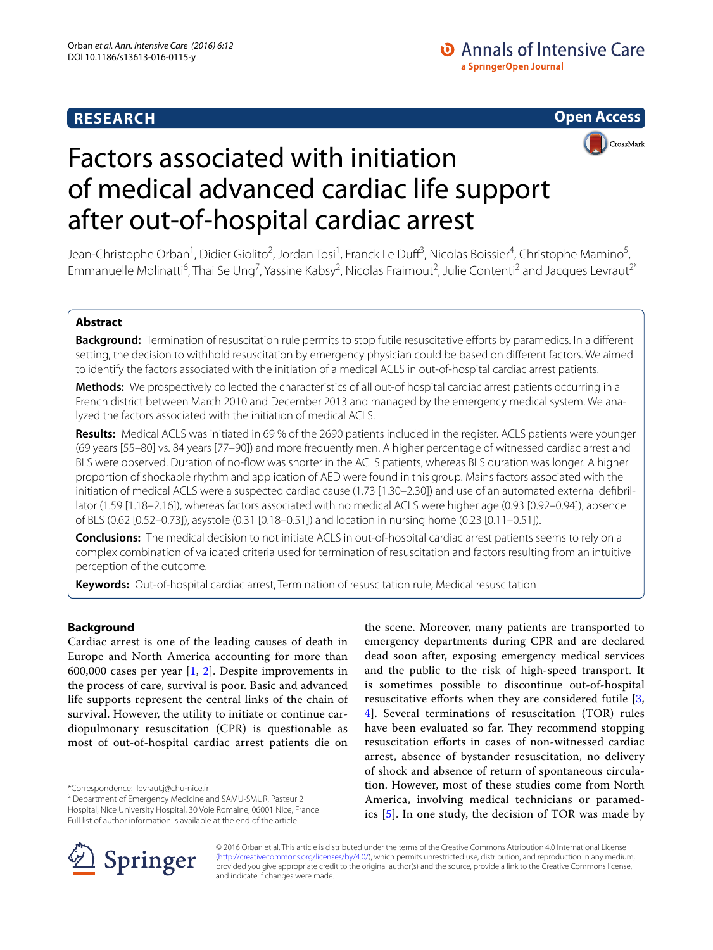# **RESEARCH**



.<br>CrossMark

# Factors associated with initiation of medical advanced cardiac life support after out-of-hospital cardiac arrest

Jean-Christophe Orban<sup>1</sup>, Didier Giolito<sup>2</sup>, Jordan Tosi<sup>1</sup>, Franck Le Duff<sup>3</sup>, Nicolas Boissier<sup>4</sup>, Christophe Mamino<sup>5</sup>, Emmanuelle Molinatti<sup>6</sup>, Thai Se Ung<sup>7</sup>, Yassine Kabsy<sup>2</sup>, Nicolas Fraimout<sup>2</sup>, Julie Contenti<sup>2</sup> and Jacques Levraut<sup>2\*</sup>

## **Abstract**

**Background:** Termination of resuscitation rule permits to stop futile resuscitative efforts by paramedics. In a different setting, the decision to withhold resuscitation by emergency physician could be based on different factors. We aimed to identify the factors associated with the initiation of a medical ACLS in out-of-hospital cardiac arrest patients.

**Methods:** We prospectively collected the characteristics of all out-of hospital cardiac arrest patients occurring in a French district between March 2010 and December 2013 and managed by the emergency medical system. We analyzed the factors associated with the initiation of medical ACLS.

**Results:** Medical ACLS was initiated in 69 % of the 2690 patients included in the register. ACLS patients were younger (69 years [55–80] vs. 84 years [77–90]) and more frequently men. A higher percentage of witnessed cardiac arrest and BLS were observed. Duration of no-flow was shorter in the ACLS patients, whereas BLS duration was longer. A higher proportion of shockable rhythm and application of AED were found in this group. Mains factors associated with the initiation of medical ACLS were a suspected cardiac cause (1.73 [1.30–2.30]) and use of an automated external defibrillator (1.59 [1.18–2.16]), whereas factors associated with no medical ACLS were higher age (0.93 [0.92–0.94]), absence of BLS (0.62 [0.52–0.73]), asystole (0.31 [0.18–0.51]) and location in nursing home (0.23 [0.11–0.51]).

**Conclusions:** The medical decision to not initiate ACLS in out-of-hospital cardiac arrest patients seems to rely on a complex combination of validated criteria used for termination of resuscitation and factors resulting from an intuitive perception of the outcome.

**Keywords:** Out-of-hospital cardiac arrest, Termination of resuscitation rule, Medical resuscitation

### **Background**

Cardiac arrest is one of the leading causes of death in Europe and North America accounting for more than 600,000 cases per year [[1,](#page-4-0) [2\]](#page-4-1). Despite improvements in the process of care, survival is poor. Basic and advanced life supports represent the central links of the chain of survival. However, the utility to initiate or continue cardiopulmonary resuscitation (CPR) is questionable as most of out-of-hospital cardiac arrest patients die on

\*Correspondence: levraut.j@chu‑nice.fr

2 Department of Emergency Medicine and SAMU‑SMUR, Pasteur 2 Hospital, Nice University Hospital, 30 Voie Romaine, 06001 Nice, France Full list of author information is available at the end of the article

the scene. Moreover, many patients are transported to emergency departments during CPR and are declared dead soon after, exposing emergency medical services and the public to the risk of high-speed transport. It is sometimes possible to discontinue out-of-hospital resuscitative efforts when they are considered futile [\[3](#page-4-2), [4\]](#page-4-3). Several terminations of resuscitation (TOR) rules have been evaluated so far. They recommend stopping resuscitation efforts in cases of non-witnessed cardiac arrest, absence of bystander resuscitation, no delivery of shock and absence of return of spontaneous circulation. However, most of these studies come from North America, involving medical technicians or paramedics [\[5](#page-4-4)]. In one study, the decision of TOR was made by



© 2016 Orban et al. This article is distributed under the terms of the Creative Commons Attribution 4.0 International License [\(http://creativecommons.org/licenses/by/4.0/\)](http://creativecommons.org/licenses/by/4.0/), which permits unrestricted use, distribution, and reproduction in any medium, provided you give appropriate credit to the original author(s) and the source, provide a link to the Creative Commons license, and indicate if changes were made.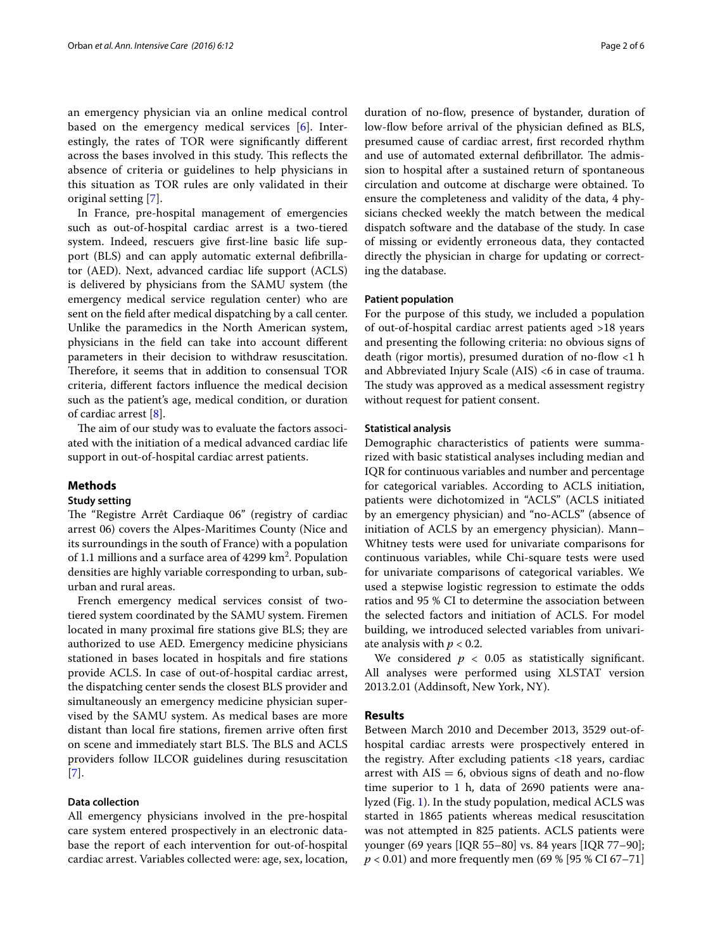an emergency physician via an online medical control based on the emergency medical services [[6\]](#page-4-5). Interestingly, the rates of TOR were significantly different across the bases involved in this study. This reflects the absence of criteria or guidelines to help physicians in this situation as TOR rules are only validated in their original setting [\[7](#page-4-6)].

In France, pre-hospital management of emergencies such as out-of-hospital cardiac arrest is a two-tiered system. Indeed, rescuers give first-line basic life support (BLS) and can apply automatic external defibrillator (AED). Next, advanced cardiac life support (ACLS) is delivered by physicians from the SAMU system (the emergency medical service regulation center) who are sent on the field after medical dispatching by a call center. Unlike the paramedics in the North American system, physicians in the field can take into account different parameters in their decision to withdraw resuscitation. Therefore, it seems that in addition to consensual TOR criteria, different factors influence the medical decision such as the patient's age, medical condition, or duration of cardiac arrest [[8\]](#page-4-7).

The aim of our study was to evaluate the factors associated with the initiation of a medical advanced cardiac life support in out-of-hospital cardiac arrest patients.

#### **Methods**

#### **Study setting**

The "Registre Arrêt Cardiaque 06" (registry of cardiac arrest 06) covers the Alpes-Maritimes County (Nice and its surroundings in the south of France) with a population of 1.1 millions and a surface area of 4299 km<sup>2</sup>. Population densities are highly variable corresponding to urban, suburban and rural areas.

French emergency medical services consist of twotiered system coordinated by the SAMU system. Firemen located in many proximal fire stations give BLS; they are authorized to use AED. Emergency medicine physicians stationed in bases located in hospitals and fire stations provide ACLS. In case of out-of-hospital cardiac arrest, the dispatching center sends the closest BLS provider and simultaneously an emergency medicine physician supervised by the SAMU system. As medical bases are more distant than local fire stations, firemen arrive often first on scene and immediately start BLS. The BLS and ACLS providers follow ILCOR guidelines during resuscitation [[7\]](#page-4-6).

#### **Data collection**

All emergency physicians involved in the pre-hospital care system entered prospectively in an electronic database the report of each intervention for out-of-hospital cardiac arrest. Variables collected were: age, sex, location,

duration of no-flow, presence of bystander, duration of low-flow before arrival of the physician defined as BLS, presumed cause of cardiac arrest, first recorded rhythm and use of automated external defibrillator. The admission to hospital after a sustained return of spontaneous circulation and outcome at discharge were obtained. To ensure the completeness and validity of the data, 4 physicians checked weekly the match between the medical dispatch software and the database of the study. In case of missing or evidently erroneous data, they contacted directly the physician in charge for updating or correcting the database.

#### **Patient population**

For the purpose of this study, we included a population of out-of-hospital cardiac arrest patients aged >18 years and presenting the following criteria: no obvious signs of death (rigor mortis), presumed duration of no-flow <1 h and Abbreviated Injury Scale (AIS) <6 in case of trauma. The study was approved as a medical assessment registry without request for patient consent.

#### **Statistical analysis**

Demographic characteristics of patients were summarized with basic statistical analyses including median and IQR for continuous variables and number and percentage for categorical variables. According to ACLS initiation, patients were dichotomized in "ACLS" (ACLS initiated by an emergency physician) and "no-ACLS" (absence of initiation of ACLS by an emergency physician). Mann– Whitney tests were used for univariate comparisons for continuous variables, while Chi-square tests were used for univariate comparisons of categorical variables. We used a stepwise logistic regression to estimate the odds ratios and 95 % CI to determine the association between the selected factors and initiation of ACLS. For model building, we introduced selected variables from univariate analysis with  $p < 0.2$ .

We considered  $p < 0.05$  as statistically significant. All analyses were performed using XLSTAT version 2013.2.01 (Addinsoft, New York, NY).

#### **Results**

Between March 2010 and December 2013, 3529 out-ofhospital cardiac arrests were prospectively entered in the registry. After excluding patients <18 years, cardiac arrest with  $AIS = 6$ , obvious signs of death and no-flow time superior to 1 h, data of 2690 patients were analyzed (Fig. [1\)](#page-2-0). In the study population, medical ACLS was started in 1865 patients whereas medical resuscitation was not attempted in 825 patients. ACLS patients were younger (69 years [IQR 55–80] vs. 84 years [IQR 77–90]; *p* < 0.01) and more frequently men (69 % [95 % CI 67–71]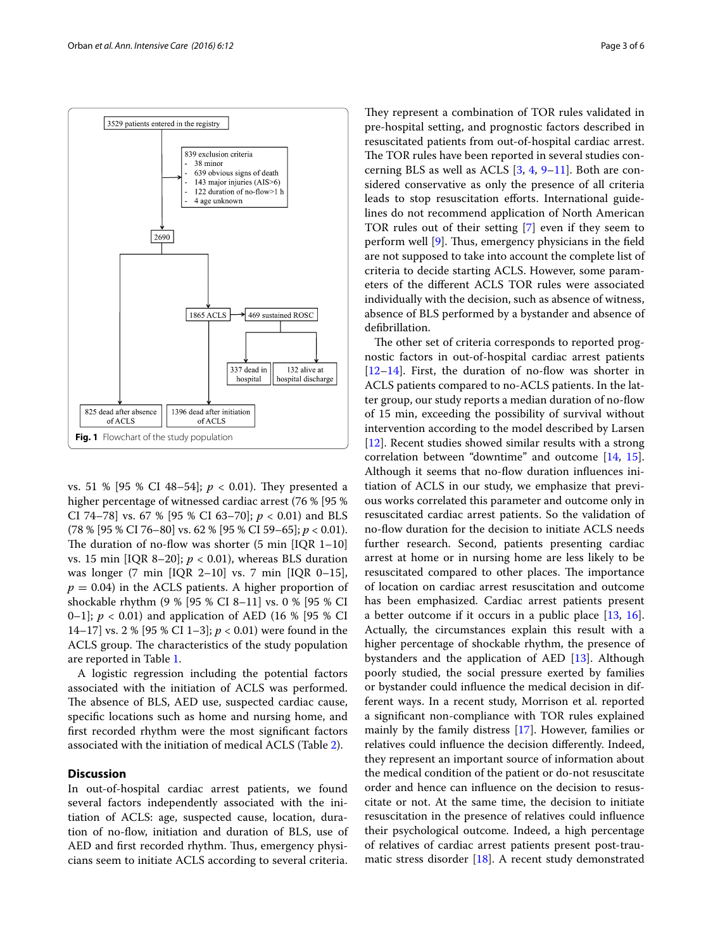

<span id="page-2-0"></span>vs. 51 % [95 % CI 48–54]; *p* < 0.01). They presented a higher percentage of witnessed cardiac arrest (76 % [95 % CI 74–78] vs. 67 % [95 % CI 63–70]; *p* < 0.01) and BLS (78 % [95 % CI 76–80] vs. 62 % [95 % CI 59–65]; *p* < 0.01). The duration of no-flow was shorter (5 min [IQR 1–10] vs. 15 min [IQR 8–20]; *p* < 0.01), whereas BLS duration was longer (7 min [IQR 2–10] vs. 7 min [IQR 0–15],  $p = 0.04$ ) in the ACLS patients. A higher proportion of shockable rhythm (9 % [95 % CI 8–11] vs. 0 % [95 % CI 0–1];  $p < 0.01$  and application of AED (16 % [95 % CI 14–17] vs. 2 % [95 % CI 1–3]; *p* < 0.01) were found in the ACLS group. The characteristics of the study population are reported in Table [1](#page-3-0).

A logistic regression including the potential factors associated with the initiation of ACLS was performed. The absence of BLS, AED use, suspected cardiac cause, specific locations such as home and nursing home, and first recorded rhythm were the most significant factors associated with the initiation of medical ACLS (Table [2](#page-3-1)).

## **Discussion**

In out-of-hospital cardiac arrest patients, we found several factors independently associated with the initiation of ACLS: age, suspected cause, location, duration of no-flow, initiation and duration of BLS, use of AED and first recorded rhythm. Thus, emergency physicians seem to initiate ACLS according to several criteria.

They represent a combination of TOR rules validated in pre-hospital setting, and prognostic factors described in resuscitated patients from out-of-hospital cardiac arrest. The TOR rules have been reported in several studies concerning BLS as well as ACLS [[3,](#page-4-2) [4,](#page-4-3) [9](#page-4-8)[–11\]](#page-4-9). Both are considered conservative as only the presence of all criteria leads to stop resuscitation efforts. International guidelines do not recommend application of North American TOR rules out of their setting [[7\]](#page-4-6) even if they seem to perform well [[9\]](#page-4-8). Thus, emergency physicians in the field are not supposed to take into account the complete list of criteria to decide starting ACLS. However, some parameters of the different ACLS TOR rules were associated individually with the decision, such as absence of witness, absence of BLS performed by a bystander and absence of defibrillation.

The other set of criteria corresponds to reported prognostic factors in out-of-hospital cardiac arrest patients [[12–](#page-4-10)[14\]](#page-4-11). First, the duration of no-flow was shorter in ACLS patients compared to no-ACLS patients. In the latter group, our study reports a median duration of no-flow of 15 min, exceeding the possibility of survival without intervention according to the model described by Larsen [[12\]](#page-4-10). Recent studies showed similar results with a strong correlation between "downtime" and outcome [\[14,](#page-4-11) [15](#page-4-12)]. Although it seems that no-flow duration influences initiation of ACLS in our study, we emphasize that previous works correlated this parameter and outcome only in resuscitated cardiac arrest patients. So the validation of no-flow duration for the decision to initiate ACLS needs further research. Second, patients presenting cardiac arrest at home or in nursing home are less likely to be resuscitated compared to other places. The importance of location on cardiac arrest resuscitation and outcome has been emphasized. Cardiac arrest patients present a better outcome if it occurs in a public place [[13](#page-4-13), [16](#page-4-14)]. Actually, the circumstances explain this result with a higher percentage of shockable rhythm, the presence of bystanders and the application of AED [\[13\]](#page-4-13). Although poorly studied, the social pressure exerted by families or bystander could influence the medical decision in different ways. In a recent study, Morrison et al. reported a significant non-compliance with TOR rules explained mainly by the family distress [\[17\]](#page-4-15). However, families or relatives could influence the decision differently. Indeed, they represent an important source of information about the medical condition of the patient or do-not resuscitate order and hence can influence on the decision to resuscitate or not. At the same time, the decision to initiate resuscitation in the presence of relatives could influence their psychological outcome. Indeed, a high percentage of relatives of cardiac arrest patients present post-traumatic stress disorder [\[18\]](#page-5-0). A recent study demonstrated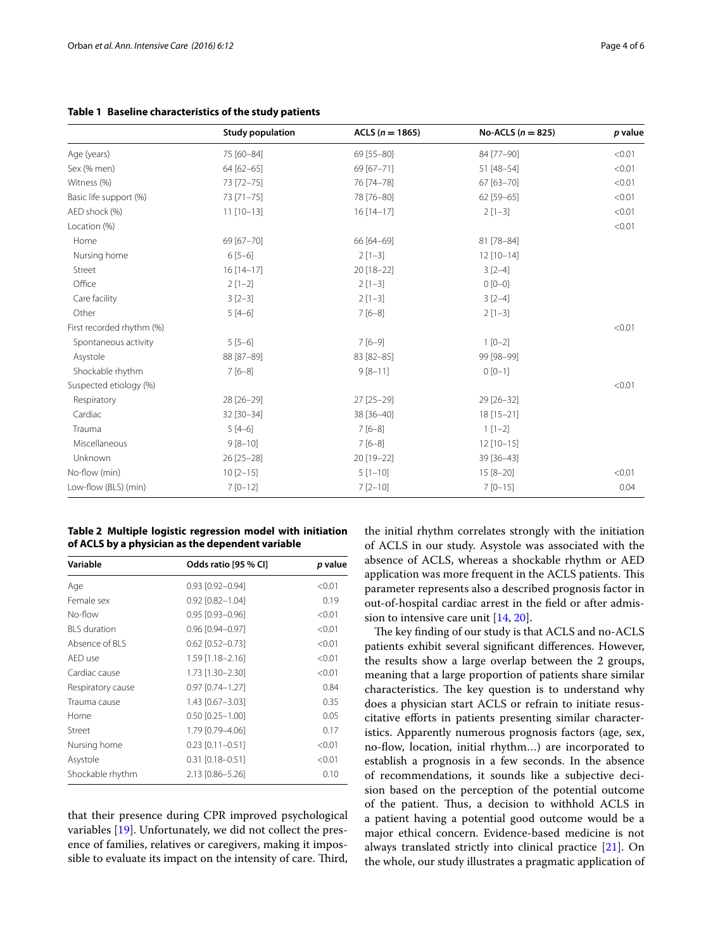#### <span id="page-3-0"></span>**Table 1 Baseline characteristics of the study patients**

|                           | <b>Study population</b> | $ACLS (n = 1865)$ | No-ACLS $(n = 825)$ | p value |
|---------------------------|-------------------------|-------------------|---------------------|---------|
| Age (years)               | 75 [60-84]              | 69 [55-80]        | 84 [77-90]          | < 0.01  |
| Sex (% men)               | 64 [62-65]              | 69 [67-71]        | 51 [48-54]          | < 0.01  |
| Witness (%)               | 73 [72-75]              | 76 [74-78]        | 67 [63-70]          | < 0.01  |
| Basic life support (%)    | 73 [71-75]              | 78 [76-80]        | 62 [59-65]          | < 0.01  |
| AED shock (%)             | $11$ [10-13]            | 16 [14-17]        | $2[1-3]$            | < 0.01  |
| Location (%)              |                         |                   |                     | < 0.01  |
| Home                      | 69 [67-70]              | 66 [64-69]        | 81 [78-84]          |         |
| Nursing home              | $6[5-6]$                | $2[1-3]$          | 12 [10-14]          |         |
| Street                    | $16[14-17]$             | 20 [18-22]        | $3[2-4]$            |         |
| Office                    | $2[1-2]$                | $2[1-3]$          | $0 [0 - 0]$         |         |
| Care facility             | $3 [2 - 3]$             | $2[1-3]$          | $3[2-4]$            |         |
| Other                     | $5[4-6]$                | $7[6-8]$          | $2[1-3]$            |         |
| First recorded rhythm (%) |                         |                   |                     | < 0.01  |
| Spontaneous activity      | $5[5-6]$                | $7[6-9]$          | $1 [0-2]$           |         |
| Asystole                  | 88 [87-89]              | 83 [82-85]        | 99 [98-99]          |         |
| Shockable rhythm          | $7[6-8]$                | $9[8-11]$         | $0[0-1]$            |         |
| Suspected etiology (%)    |                         |                   |                     | < 0.01  |
| Respiratory               | 28 [26-29]              | 27 [25-29]        | 29 [26-32]          |         |
| Cardiac                   | 32 [30-34]              | 38 [36-40]        | 18 [15-21]          |         |
| Trauma                    | $5[4-6]$                | $7[6-8]$          | $1[1-2]$            |         |
| Miscellaneous             | $9[8-10]$               | $7[6-8]$          | $12$ [10-15]        |         |
| Unknown                   | 26 [25-28]              | 20 [19-22]        | 39 [36-43]          |         |
| No-flow (min)             | $10 [2 - 15]$           | $5[1-10]$         | $15 [8 - 20]$       | < 0.01  |
| Low-flow (BLS) (min)      | $7[0-12]$               | $7[2-10]$         | $7 [0 - 15]$        | 0.04    |

<span id="page-3-1"></span>**Table 2 Multiple logistic regression model with initiation of ACLS by a physician as the dependent variable**

| Variable            | Odds ratio [95 % CI]   | p value |
|---------------------|------------------------|---------|
| Age                 | $0.93$ $[0.92 - 0.94]$ | < 0.01  |
| Female sex          | $0.92$ $[0.82 - 1.04]$ | 0.19    |
| No-flow             | $0.95$ $[0.93 - 0.96]$ | < 0.01  |
| <b>BLS</b> duration | 0.96 [0.94-0.97]       | < 0.01  |
| Absence of BLS      | $0.62$ [0.52-0.73]     | < 0.01  |
| AED use             | $1.59$ [1.18-2.16]     | < 0.01  |
| Cardiac cause       | 1.73 [1.30-2.30]       | < 0.01  |
| Respiratory cause   | $0.97$ $[0.74 - 1.27]$ | 0.84    |
| Trauma cause        | 1.43 [0.67-3.03]       | 0.35    |
| Home                | $0.50$ $[0.25 - 1.00]$ | 0.05    |
| Street              | 1.79 [0.79-4.06]       | 0.17    |
| Nursing home        | $0.23$ [0.11-0.51]     | < 0.01  |
| Asystole            | $0.31$ [0.18-0.51]     | < 0.01  |
| Shockable rhythm    | 2.13 [0.86-5.26]       | 0.10    |
|                     |                        |         |

that their presence during CPR improved psychological variables [[19](#page-5-1)]. Unfortunately, we did not collect the presence of families, relatives or caregivers, making it impossible to evaluate its impact on the intensity of care. Third, the initial rhythm correlates strongly with the initiation of ACLS in our study. Asystole was associated with the absence of ACLS, whereas a shockable rhythm or AED application was more frequent in the ACLS patients. This parameter represents also a described prognosis factor in out-of-hospital cardiac arrest in the field or after admission to intensive care unit [\[14,](#page-4-11) [20](#page-5-2)].

The key finding of our study is that ACLS and no-ACLS patients exhibit several significant differences. However, the results show a large overlap between the 2 groups, meaning that a large proportion of patients share similar characteristics. The key question is to understand why does a physician start ACLS or refrain to initiate resuscitative efforts in patients presenting similar characteristics. Apparently numerous prognosis factors (age, sex, no-flow, location, initial rhythm…) are incorporated to establish a prognosis in a few seconds. In the absence of recommendations, it sounds like a subjective decision based on the perception of the potential outcome of the patient. Thus, a decision to withhold ACLS in a patient having a potential good outcome would be a major ethical concern. Evidence-based medicine is not always translated strictly into clinical practice [\[21\]](#page-5-3). On the whole, our study illustrates a pragmatic application of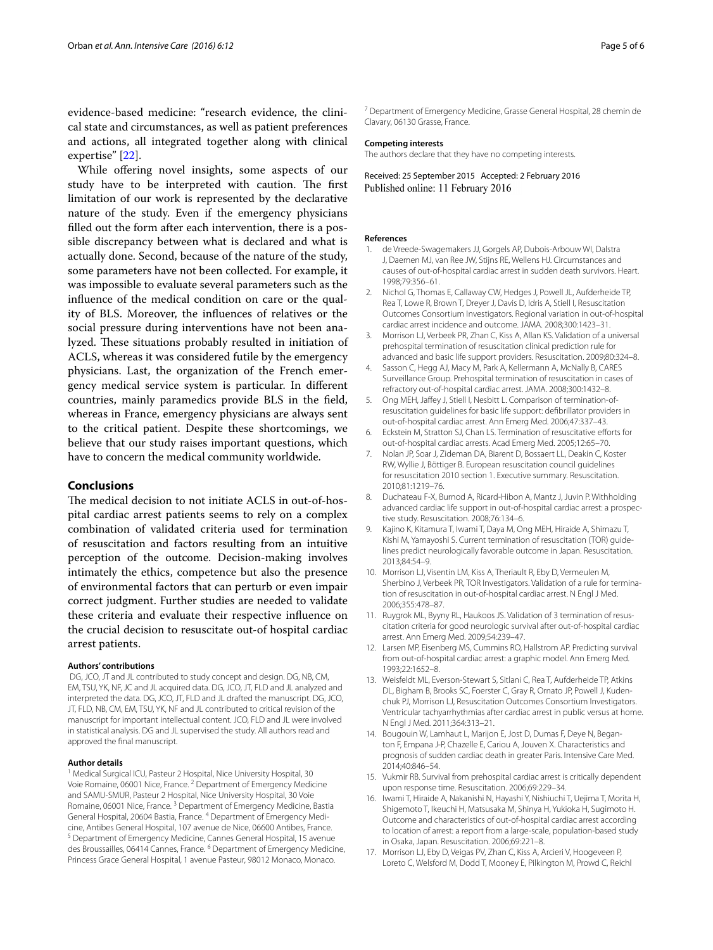evidence-based medicine: "research evidence, the clinical state and circumstances, as well as patient preferences and actions, all integrated together along with clinical expertise" [[22\]](#page-5-4).

While offering novel insights, some aspects of our study have to be interpreted with caution. The first limitation of our work is represented by the declarative nature of the study. Even if the emergency physicians filled out the form after each intervention, there is a possible discrepancy between what is declared and what is actually done. Second, because of the nature of the study, some parameters have not been collected. For example, it was impossible to evaluate several parameters such as the influence of the medical condition on care or the quality of BLS. Moreover, the influences of relatives or the social pressure during interventions have not been analyzed. These situations probably resulted in initiation of ACLS, whereas it was considered futile by the emergency physicians. Last, the organization of the French emergency medical service system is particular. In different countries, mainly paramedics provide BLS in the field, whereas in France, emergency physicians are always sent to the critical patient. Despite these shortcomings, we believe that our study raises important questions, which have to concern the medical community worldwide.

#### **Conclusions**

The medical decision to not initiate ACLS in out-of-hospital cardiac arrest patients seems to rely on a complex combination of validated criteria used for termination of resuscitation and factors resulting from an intuitive perception of the outcome. Decision-making involves intimately the ethics, competence but also the presence of environmental factors that can perturb or even impair correct judgment. Further studies are needed to validate these criteria and evaluate their respective influence on the crucial decision to resuscitate out-of hospital cardiac arrest patients.

#### **Authors' contributions**

 DG, JCO, JT and JL contributed to study concept and design. DG, NB, CM, EM, TSU, YK, NF, JC and JL acquired data. DG, JCO, JT, FLD and JL analyzed and interpreted the data. DG, JCO, JT, FLD and JL drafted the manuscript. DG, JCO, JT, FLD, NB, CM, EM, TSU, YK, NF and JL contributed to critical revision of the manuscript for important intellectual content. JCO, FLD and JL were involved in statistical analysis. DG and JL supervised the study. All authors read and approved the final manuscript.

#### **Author details**

<sup>1</sup> Medical Surgical ICU, Pasteur 2 Hospital, Nice University Hospital, 30 Voie Romaine, 06001 Nice, France. <sup>2</sup> Department of Emergency Medicine and SAMU‑SMUR, Pasteur 2 Hospital, Nice University Hospital, 30 Voie Romaine, 06001 Nice, France. 3 Department of Emergency Medicine, Bastia General Hospital, 20604 Bastia, France. <sup>4</sup> Department of Emergency Medicine, Antibes General Hospital, 107 avenue de Nice, 06600 Antibes, France.<br><sup>5</sup> Department of Emergency Medicine, Cannes General Hospital, 15 avenue des Broussailles, 06414 Cannes, France. <sup>6</sup> Department of Emergency Medicine, Princess Grace General Hospital, 1 avenue Pasteur, 98012 Monaco, Monaco.

<sup>7</sup> Department of Emergency Medicine, Grasse General Hospital, 28 chemin de Clavary, 06130 Grasse, France.

#### **Competing interests**

The authors declare that they have no competing interests.

Received: 25 September 2015 Accepted: 2 February 2016 Published online: 11 February 2016

#### **References**

- <span id="page-4-0"></span>1. de Vreede-Swagemakers JJ, Gorgels AP, Dubois-Arbouw WI, Dalstra J, Daemen MJ, van Ree JW, Stijns RE, Wellens HJ. Circumstances and causes of out-of-hospital cardiac arrest in sudden death survivors. Heart. 1998;79:356–61.
- <span id="page-4-1"></span>2. Nichol G, Thomas E, Callaway CW, Hedges J, Powell JL, Aufderheide TP, Rea T, Lowe R, Brown T, Dreyer J, Davis D, Idris A, Stiell I, Resuscitation Outcomes Consortium Investigators. Regional variation in out-of-hospital cardiac arrest incidence and outcome. JAMA. 2008;300:1423–31.
- <span id="page-4-2"></span>3. Morrison LJ, Verbeek PR, Zhan C, Kiss A, Allan KS. Validation of a universal prehospital termination of resuscitation clinical prediction rule for advanced and basic life support providers. Resuscitation. 2009;80:324–8.
- <span id="page-4-3"></span>4. Sasson C, Hegg AJ, Macy M, Park A, Kellermann A, McNally B, CARES Surveillance Group. Prehospital termination of resuscitation in cases of refractory out-of-hospital cardiac arrest. JAMA. 2008;300:1432–8.
- <span id="page-4-4"></span>5. Ong MEH, Jaffey J, Stiell I, Nesbitt L. Comparison of termination-ofresuscitation guidelines for basic life support: defibrillator providers in out-of-hospital cardiac arrest. Ann Emerg Med. 2006;47:337–43.
- <span id="page-4-5"></span>6. Eckstein M, Stratton SJ, Chan LS. Termination of resuscitative efforts for out-of-hospital cardiac arrests. Acad Emerg Med. 2005;12:65–70.
- <span id="page-4-6"></span>7. Nolan JP, Soar J, Zideman DA, Biarent D, Bossaert LL, Deakin C, Koster RW, Wyllie J, Böttiger B. European resuscitation council guidelines for resuscitation 2010 section 1. Executive summary. Resuscitation. 2010;81:1219–76.
- <span id="page-4-7"></span>8. Duchateau F-X, Burnod A, Ricard-Hibon A, Mantz J, Juvin P. Withholding advanced cardiac life support in out-of-hospital cardiac arrest: a prospective study. Resuscitation. 2008;76:134–6.
- <span id="page-4-8"></span>9. Kajino K, Kitamura T, Iwami T, Daya M, Ong MEH, Hiraide A, Shimazu T, Kishi M, Yamayoshi S. Current termination of resuscitation (TOR) guidelines predict neurologically favorable outcome in Japan. Resuscitation. 2013;84:54–9.
- 10. Morrison LJ, Visentin LM, Kiss A, Theriault R, Eby D, Vermeulen M, Sherbino J, Verbeek PR, TOR Investigators. Validation of a rule for termination of resuscitation in out-of-hospital cardiac arrest. N Engl J Med. 2006;355:478–87.
- <span id="page-4-9"></span>11. Ruygrok ML, Byyny RL, Haukoos JS. Validation of 3 termination of resuscitation criteria for good neurologic survival after out-of-hospital cardiac arrest. Ann Emerg Med. 2009;54:239–47.
- <span id="page-4-10"></span>12. Larsen MP, Eisenberg MS, Cummins RO, Hallstrom AP. Predicting survival from out-of-hospital cardiac arrest: a graphic model. Ann Emerg Med. 1993;22:1652–8.
- <span id="page-4-13"></span>13. Weisfeldt ML, Everson-Stewart S, Sitlani C, Rea T, Aufderheide TP, Atkins DL, Bigham B, Brooks SC, Foerster C, Gray R, Ornato JP, Powell J, Kudenchuk PJ, Morrison LJ, Resuscitation Outcomes Consortium Investigators. Ventricular tachyarrhythmias after cardiac arrest in public versus at home. N Engl J Med. 2011;364:313–21.
- <span id="page-4-11"></span>14. Bougouin W, Lamhaut L, Marijon E, Jost D, Dumas F, Deye N, Beganton F, Empana J-P, Chazelle E, Cariou A, Jouven X. Characteristics and prognosis of sudden cardiac death in greater Paris. Intensive Care Med. 2014;40:846–54.
- <span id="page-4-12"></span>15. Vukmir RB. Survival from prehospital cardiac arrest is critically dependent upon response time. Resuscitation. 2006;69:229–34.
- <span id="page-4-14"></span>16. Iwami T, Hiraide A, Nakanishi N, Hayashi Y, Nishiuchi T, Uejima T, Morita H, Shigemoto T, Ikeuchi H, Matsusaka M, Shinya H, Yukioka H, Sugimoto H. Outcome and characteristics of out-of-hospital cardiac arrest according to location of arrest: a report from a large-scale, population-based study in Osaka, Japan. Resuscitation. 2006;69:221–8.
- <span id="page-4-15"></span>17. Morrison LJ, Eby D, Veigas PV, Zhan C, Kiss A, Arcieri V, Hoogeveen P, Loreto C, Welsford M, Dodd T, Mooney E, Pilkington M, Prowd C, Reichl